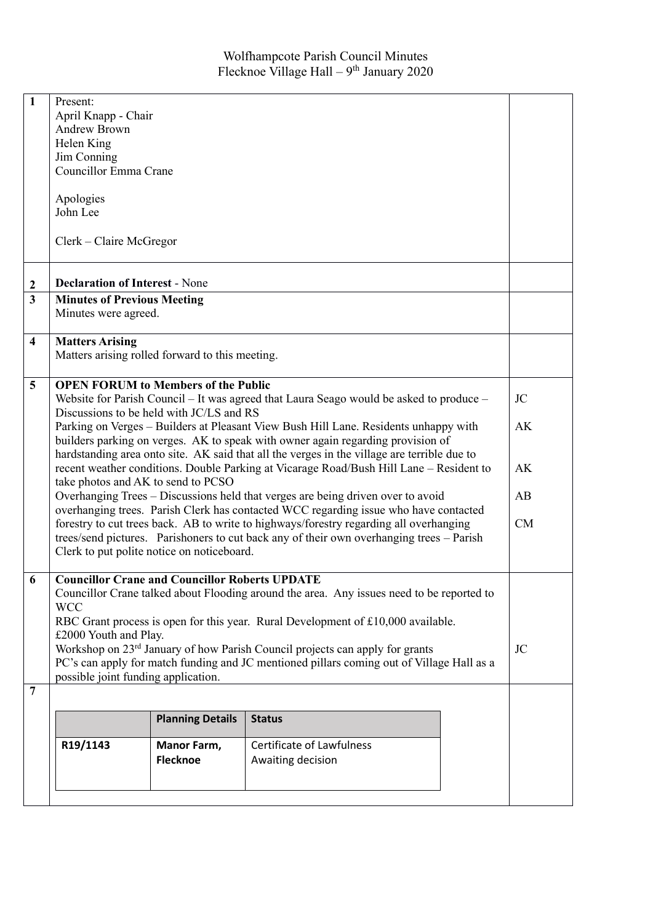| $\mathbf{1}$            | Present:                                                                                                                         |                                            |                                  |           |  |  |
|-------------------------|----------------------------------------------------------------------------------------------------------------------------------|--------------------------------------------|----------------------------------|-----------|--|--|
|                         | April Knapp - Chair                                                                                                              |                                            |                                  |           |  |  |
|                         | <b>Andrew Brown</b>                                                                                                              |                                            |                                  |           |  |  |
|                         | Helen King                                                                                                                       |                                            |                                  |           |  |  |
|                         | Jim Conning                                                                                                                      |                                            |                                  |           |  |  |
|                         | Councillor Emma Crane                                                                                                            |                                            |                                  |           |  |  |
|                         |                                                                                                                                  |                                            |                                  |           |  |  |
|                         | Apologies                                                                                                                        |                                            |                                  |           |  |  |
|                         | John Lee                                                                                                                         |                                            |                                  |           |  |  |
|                         |                                                                                                                                  |                                            |                                  |           |  |  |
|                         | Clerk – Claire McGregor                                                                                                          |                                            |                                  |           |  |  |
|                         |                                                                                                                                  |                                            |                                  |           |  |  |
|                         |                                                                                                                                  |                                            |                                  |           |  |  |
| $\boldsymbol{2}$        | <b>Declaration of Interest - None</b>                                                                                            |                                            |                                  |           |  |  |
| $\overline{\mathbf{3}}$ | <b>Minutes of Previous Meeting</b>                                                                                               |                                            |                                  |           |  |  |
|                         | Minutes were agreed.                                                                                                             |                                            |                                  |           |  |  |
|                         |                                                                                                                                  |                                            |                                  |           |  |  |
| $\overline{\mathbf{4}}$ | <b>Matters Arising</b>                                                                                                           |                                            |                                  |           |  |  |
|                         | Matters arising rolled forward to this meeting.                                                                                  |                                            |                                  |           |  |  |
|                         |                                                                                                                                  |                                            |                                  |           |  |  |
| 5                       |                                                                                                                                  | <b>OPEN FORUM to Members of the Public</b> |                                  | <b>JC</b> |  |  |
|                         | Website for Parish Council - It was agreed that Laura Seago would be asked to produce -                                          |                                            |                                  |           |  |  |
|                         | Discussions to be held with JC/LS and RS<br>Parking on Verges – Builders at Pleasant View Bush Hill Lane. Residents unhappy with |                                            |                                  |           |  |  |
|                         |                                                                                                                                  |                                            |                                  | AK        |  |  |
|                         | builders parking on verges. AK to speak with owner again regarding provision of                                                  |                                            |                                  |           |  |  |
|                         | hardstanding area onto site. AK said that all the verges in the village are terrible due to                                      |                                            |                                  | AK        |  |  |
|                         | recent weather conditions. Double Parking at Vicarage Road/Bush Hill Lane - Resident to                                          |                                            |                                  |           |  |  |
|                         | take photos and AK to send to PCSO<br>Overhanging Trees - Discussions held that verges are being driven over to avoid<br>AB      |                                            |                                  |           |  |  |
|                         | overhanging trees. Parish Clerk has contacted WCC regarding issue who have contacted                                             |                                            |                                  |           |  |  |
|                         | forestry to cut trees back. AB to write to highways/forestry regarding all overhanging                                           |                                            |                                  |           |  |  |
|                         | CM<br>trees/send pictures. Parishoners to cut back any of their own overhanging trees - Parish                                   |                                            |                                  |           |  |  |
|                         | Clerk to put polite notice on noticeboard.                                                                                       |                                            |                                  |           |  |  |
|                         |                                                                                                                                  |                                            |                                  |           |  |  |
| 6                       | <b>Councillor Crane and Councillor Roberts UPDATE</b>                                                                            |                                            |                                  |           |  |  |
|                         | Councillor Crane talked about Flooding around the area. Any issues need to be reported to                                        |                                            |                                  |           |  |  |
|                         | <b>WCC</b>                                                                                                                       |                                            |                                  |           |  |  |
|                         | RBC Grant process is open for this year. Rural Development of £10,000 available.                                                 |                                            |                                  |           |  |  |
|                         | £2000 Youth and Play.                                                                                                            |                                            |                                  |           |  |  |
|                         | Workshop on 23 <sup>rd</sup> January of how Parish Council projects can apply for grants<br><b>JC</b>                            |                                            |                                  |           |  |  |
|                         | PC's can apply for match funding and JC mentioned pillars coming out of Village Hall as a                                        |                                            |                                  |           |  |  |
|                         | possible joint funding application.                                                                                              |                                            |                                  |           |  |  |
| $\overline{7}$          |                                                                                                                                  |                                            |                                  |           |  |  |
|                         |                                                                                                                                  |                                            |                                  |           |  |  |
|                         |                                                                                                                                  | <b>Planning Details</b>                    | <b>Status</b>                    |           |  |  |
|                         | R19/1143                                                                                                                         | Manor Farm,                                | <b>Certificate of Lawfulness</b> |           |  |  |
|                         |                                                                                                                                  | <b>Flecknoe</b>                            | Awaiting decision                |           |  |  |
|                         |                                                                                                                                  |                                            |                                  |           |  |  |
|                         |                                                                                                                                  |                                            |                                  |           |  |  |
|                         |                                                                                                                                  |                                            |                                  |           |  |  |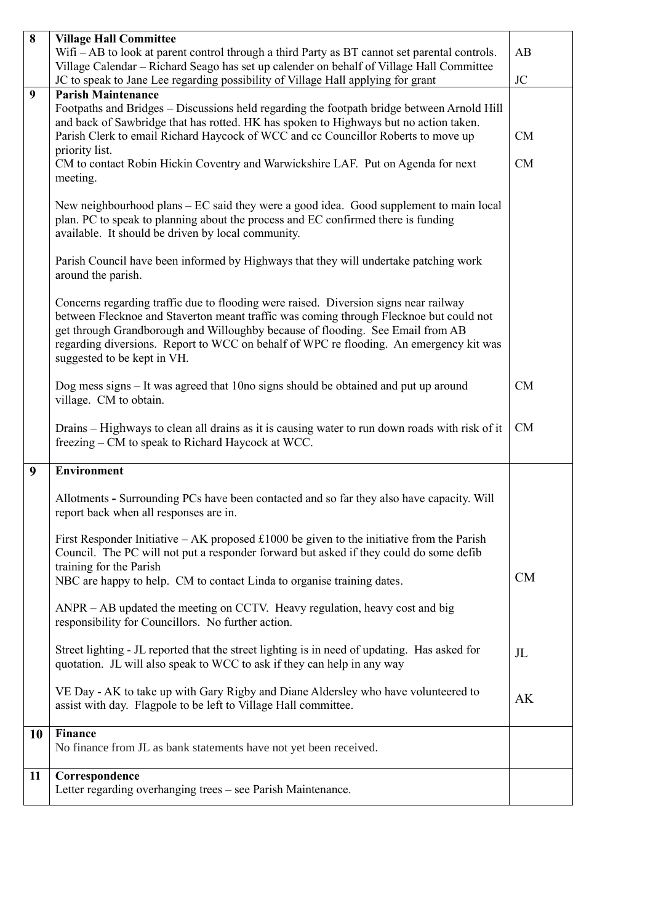| 8  | <b>Village Hall Committee</b>                                                                                                                                                                                                                                                                                                                                                            |           |  |  |
|----|------------------------------------------------------------------------------------------------------------------------------------------------------------------------------------------------------------------------------------------------------------------------------------------------------------------------------------------------------------------------------------------|-----------|--|--|
|    | Wifi - AB to look at parent control through a third Party as BT cannot set parental controls.                                                                                                                                                                                                                                                                                            |           |  |  |
|    | Village Calendar - Richard Seago has set up calender on behalf of Village Hall Committee                                                                                                                                                                                                                                                                                                 |           |  |  |
|    | JC to speak to Jane Lee regarding possibility of Village Hall applying for grant                                                                                                                                                                                                                                                                                                         | <b>JC</b> |  |  |
| 9  | <b>Parish Maintenance</b><br>Footpaths and Bridges – Discussions held regarding the footpath bridge between Arnold Hill                                                                                                                                                                                                                                                                  |           |  |  |
|    | and back of Sawbridge that has rotted. HK has spoken to Highways but no action taken.                                                                                                                                                                                                                                                                                                    |           |  |  |
|    | Parish Clerk to email Richard Haycock of WCC and cc Councillor Roberts to move up                                                                                                                                                                                                                                                                                                        | CM        |  |  |
|    | priority list.                                                                                                                                                                                                                                                                                                                                                                           |           |  |  |
|    | CM to contact Robin Hickin Coventry and Warwickshire LAF. Put on Agenda for next<br>meeting.                                                                                                                                                                                                                                                                                             |           |  |  |
|    | New neighbourhood plans – EC said they were a good idea. Good supplement to main local<br>plan. PC to speak to planning about the process and EC confirmed there is funding<br>available. It should be driven by local community.                                                                                                                                                        |           |  |  |
|    | Parish Council have been informed by Highways that they will undertake patching work<br>around the parish.                                                                                                                                                                                                                                                                               |           |  |  |
|    | Concerns regarding traffic due to flooding were raised. Diversion signs near railway<br>between Flecknoe and Staverton meant traffic was coming through Flecknoe but could not<br>get through Grandborough and Willoughby because of flooding. See Email from AB<br>regarding diversions. Report to WCC on behalf of WPC reflooding. An emergency kit was<br>suggested to be kept in VH. |           |  |  |
|    | Dog mess signs $-$ It was agreed that 10 no signs should be obtained and put up around<br>village. CM to obtain.                                                                                                                                                                                                                                                                         | CM        |  |  |
|    | Drains – Highways to clean all drains as it is causing water to run down roads with risk of it<br>freezing – CM to speak to Richard Haycock at WCC.                                                                                                                                                                                                                                      | CM        |  |  |
| 9  | <b>Environment</b>                                                                                                                                                                                                                                                                                                                                                                       |           |  |  |
|    | Allotments - Surrounding PCs have been contacted and so far they also have capacity. Will<br>report back when all responses are in.                                                                                                                                                                                                                                                      |           |  |  |
|    | First Responder Initiative – AK proposed £1000 be given to the initiative from the Parish<br>Council. The PC will not put a responder forward but asked if they could do some defib<br>training for the Parish                                                                                                                                                                           |           |  |  |
|    | NBC are happy to help. CM to contact Linda to organise training dates.                                                                                                                                                                                                                                                                                                                   | <b>CM</b> |  |  |
|    | ANPR - AB updated the meeting on CCTV. Heavy regulation, heavy cost and big<br>responsibility for Councillors. No further action.                                                                                                                                                                                                                                                        |           |  |  |
|    | Street lighting - JL reported that the street lighting is in need of updating. Has asked for<br>quotation. JL will also speak to WCC to ask if they can help in any way                                                                                                                                                                                                                  | JL        |  |  |
|    | VE Day - AK to take up with Gary Rigby and Diane Aldersley who have volunteered to<br>assist with day. Flagpole to be left to Village Hall committee.                                                                                                                                                                                                                                    | AK        |  |  |
| 10 | <b>Finance</b>                                                                                                                                                                                                                                                                                                                                                                           |           |  |  |
|    | No finance from JL as bank statements have not yet been received.                                                                                                                                                                                                                                                                                                                        |           |  |  |
| 11 | Correspondence<br>Letter regarding overhanging trees - see Parish Maintenance.                                                                                                                                                                                                                                                                                                           |           |  |  |
|    |                                                                                                                                                                                                                                                                                                                                                                                          |           |  |  |